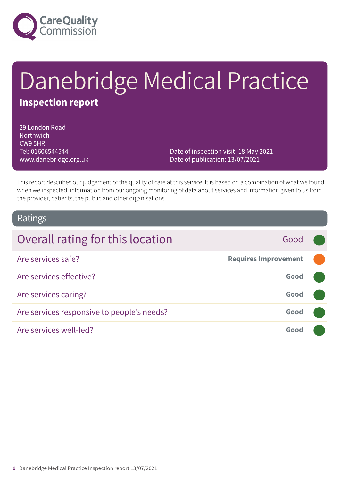

# Danebridge Medical Practice

### **Inspection report**

29 London Road **Northwich** CW9 5HR Tel: 01606544544 www.danebridge.org.uk

Date of inspection visit: 18 May 2021 Date of publication: 13/07/2021

This report describes our judgement of the quality of care at this service. It is based on a combination of what we found when we inspected, information from our ongoing monitoring of data about services and information given to us from the provider, patients, the public and other organisations.

### Ratings

| Overall rating for this location           | Good                        |  |
|--------------------------------------------|-----------------------------|--|
| Are services safe?                         | <b>Requires Improvement</b> |  |
| Are services effective?                    | Good                        |  |
| Are services caring?                       | Good                        |  |
| Are services responsive to people's needs? | Good                        |  |
| Are services well-led?                     | Good                        |  |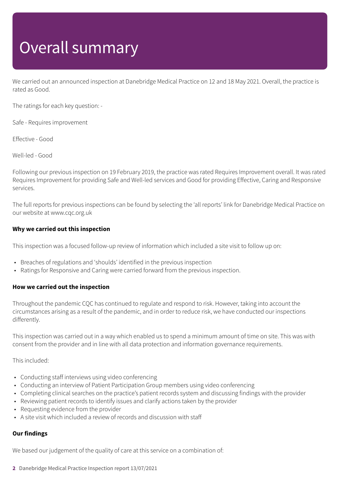# Overall summary

We carried out an announced inspection at Danebridge Medical Practice on 12 and 18 May 2021. Overall, the practice is rated as Good.

The ratings for each key question: -

Safe - Requires improvement

Effective - Good

Well-led - Good

Following our previous inspection on 19 February 2019, the practice was rated Requires Improvement overall. It was rated Requires Improvement for providing Safe and Well-led services and Good for providing Effective, Caring and Responsive services.

The full reports for previous inspections can be found by selecting the 'all reports' link for Danebridge Medical Practice on our website at www.cqc.org.uk

### **Why we carried out this inspection**

This inspection was a focused follow-up review of information which included a site visit to follow up on:

- Breaches of regulations and 'shoulds' identified in the previous inspection
- Ratings for Responsive and Caring were carried forward from the previous inspection.

#### **How we carried out the inspection**

Throughout the pandemic CQC has continued to regulate and respond to risk. However, taking into account the circumstances arising as a result of the pandemic, and in order to reduce risk, we have conducted our inspections differently.

This inspection was carried out in a way which enabled us to spend a minimum amount of time on site. This was with consent from the provider and in line with all data protection and information governance requirements.

This included:

- Conducting staff interviews using video conferencing
- Conducting an interview of Patient Participation Group members using video conferencing
- Completing clinical searches on the practice's patient records system and discussing findings with the provider
- Reviewing patient records to identify issues and clarify actions taken by the provider
- Requesting evidence from the provider
- A site visit which included a review of records and discussion with staff

### **Our findings**

We based our judgement of the quality of care at this service on a combination of:

**2** Danebridge Medical Practice Inspection report 13/07/2021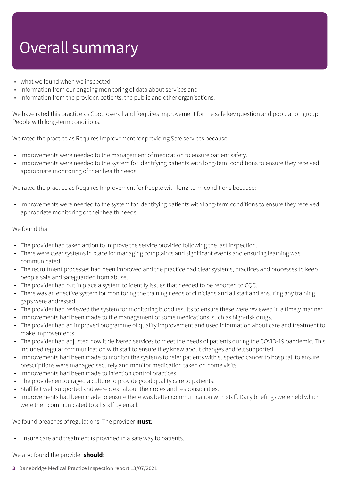# Overall summary

- what we found when we inspected
- information from our ongoing monitoring of data about services and
- information from the provider, patients, the public and other organisations.

We have rated this practice as Good overall and Requires improvement for the safe key question and population group People with long-term conditions.

We rated the practice as Requires Improvement for providing Safe services because:

- Improvements were needed to the management of medication to ensure patient safety.
- Improvements were needed to the system for identifying patients with long-term conditions to ensure they received appropriate monitoring of their health needs.

We rated the practice as Requires Improvement for People with long-term conditions because:

• Improvements were needed to the system for identifying patients with long-term conditions to ensure they received appropriate monitoring of their health needs.

### We found that:

- The provider had taken action to improve the service provided following the last inspection.
- There were clear systems in place for managing complaints and significant events and ensuring learning was communicated.
- The recruitment processes had been improved and the practice had clear systems, practices and processes to keep people safe and safeguarded from abuse.
- The provider had put in place a system to identify issues that needed to be reported to CQC.
- There was an effective system for monitoring the training needs of clinicians and all staff and ensuring any training gaps were addressed.
- The provider had reviewed the system for monitoring blood results to ensure these were reviewed in a timely manner.
- Improvements had been made to the management of some medications, such as high-risk drugs.
- The provider had an improved programme of quality improvement and used information about care and treatment to make improvements.
- The provider had adjusted how it delivered services to meet the needs of patients during the COVID-19 pandemic. This included regular communication with staff to ensure they knew about changes and felt supported.
- Improvements had been made to monitor the systems to refer patients with suspected cancer to hospital, to ensure prescriptions were managed securely and monitor medication taken on home visits.
- Improvements had been made to infection control practices.
- The provider encouraged a culture to provide good quality care to patients.
- Staff felt well supported and were clear about their roles and responsibilities.
- Improvements had been made to ensure there was better communication with staff. Daily briefings were held which were then communicated to all staff by email.

We found breaches of regulations. The provider **must**:

• Ensure care and treatment is provided in a safe way to patients.

We also found the provider **should**:

**3** Danebridge Medical Practice Inspection report 13/07/2021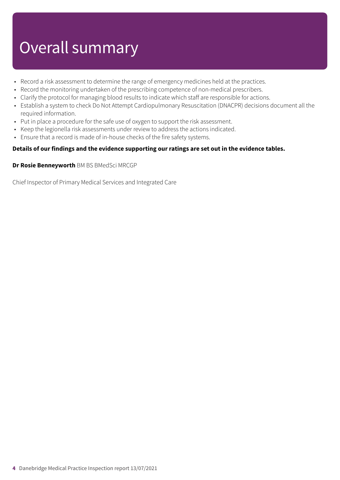# Overall summary

- Record a risk assessment to determine the range of emergency medicines held at the practices.
- Record the monitoring undertaken of the prescribing competence of non-medical prescribers.
- Clarify the protocol for managing blood results to indicate which staff are responsible for actions.
- Establish a system to check Do Not Attempt Cardiopulmonary Resuscitation (DNACPR) decisions document all the required information.
- Put in place a procedure for the safe use of oxygen to support the risk assessment.
- Keep the legionella risk assessments under review to address the actions indicated.
- Ensure that a record is made of in-house checks of the fire safety systems.

#### **Details of our findings and the evidence supporting our ratings are set out in the evidence tables.**

#### **Dr Rosie Benneyworth** BM BS BMedSci MRCGP

Chief Inspector of Primary Medical Services and Integrated Care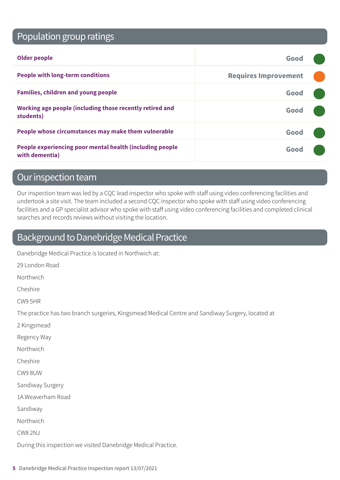### Population group ratings

| <b>Older people</b>                                                        | Good                        |  |
|----------------------------------------------------------------------------|-----------------------------|--|
| <b>People with long-term conditions</b>                                    | <b>Requires Improvement</b> |  |
| <b>Families, children and young people</b>                                 | Good                        |  |
| Working age people (including those recently retired and<br>students)      | Good                        |  |
| People whose circumstances may make them vulnerable                        | Good                        |  |
| People experiencing poor mental health (including people<br>with dementia) | Good                        |  |

### Our inspection team

Our inspection team was led by a CQC lead inspector who spoke with staff using video conferencing facilities and undertook a site visit. The team included a second CQC inspector who spoke with staff using video conferencing facilities and a GP specialist advisor who spoke with staff using video conferencing facilities and completed clinical searches and records reviews without visiting the location.

### Background to Danebridge Medical Practice

Danebridge Medical Practice is located in Northwich at:

29 London Road

Northwich

Cheshire

CW9 5HR

The practice has two branch surgeries, Kingsmead Medical Centre and Sandiway Surgery, located at

2 Kingsmead

Regency Way

Northwich

Cheshire

CW9 8UW

Sandiway Surgery

1A Weaverham Road

Sandiway

Northwich

CW8 2NJ

During this inspection we visited Danebridge Medical Practice.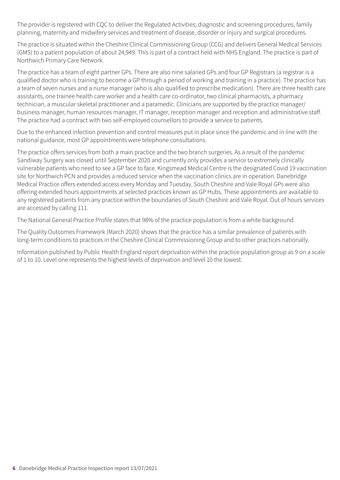The provider is registered with CQC to deliver the Regulated Activities; diagnostic and screening procedures, family planning, maternity and midwifery services and treatment of disease, disorder or injury and surgical procedures.

The practice is situated within the Cheshire Clinical Commissioning Group (CCG) and delivers General Medical Services (GMS) to a patient population of about 24,949. This is part of a contract held with NHS England. The practice is part of Northwich Primary Care Network.

The practice has a team of eight partner GPs. There are also nine salaried GPs and four GP Registrars (a registrar is a qualified doctor who is training to become a GP through a period of working and training in a practice). The practice has a team of seven nurses and a nurse manager (who is also qualified to prescribe medication). There are three health care assistants, one trainee health care worker and a health care co-ordinator, two clinical pharmacists, a pharmacy technician, a muscular skeletal practitioner and a paramedic. Clinicians are supported by the practice manager/ business manager, human resources manager, IT manager, reception manager and reception and administrative staff. The practice had a contract with two self-employed counsellors to provide a service to patients.

Due to the enhanced infection prevention and control measures put in place since the pandemic and in line with the national guidance, most GP appointments were telephone consultations.

The practice offers services from both a main practice and the two branch surgeries. As a result of the pandemic Sandiway Surgery was closed until September 2020 and currently only provides a service to extremely clinically vulnerable patients who need to see a GP face to face. Kingsmead Medical Centre is the designated Covid 19 vaccination site for Northwich PCN and provides a reduced service when the vaccination clinics are in operation. Danebridge Medical Practice offers extended access every Monday and Tuesday. South Cheshire and Vale Royal GPs were also offering extended hours appointments at selected practices known as GP Hubs. These appointments are available to any registered patients from any practice within the boundaries of South Cheshire and Vale Royal. Out of hours services are accessed by calling 111.

The National General Practice Profile states that 98% of the practice population is from a white background.

The Quality Outcomes Framework (March 2020) shows that the practice has a similar prevalence of patients with long-term conditions to practices in the Cheshire Clinical Commissioning Group and to other practices nationally.

Information published by Public Health England report deprivation within the practice population group as 9 on a scale of 1 to 10. Level one represents the highest levels of deprivation and level 10 the lowest.